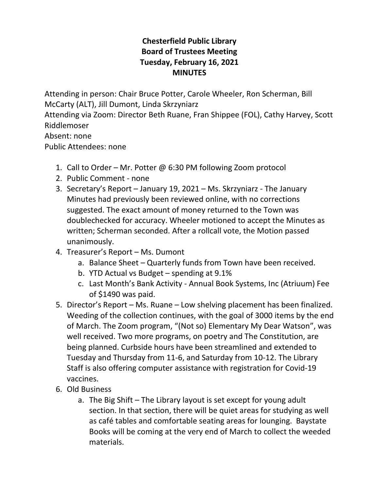## **Chesterfield Public Library Board of Trustees Meeting Tuesday, February 16, 2021 MINUTES**

Attending in person: Chair Bruce Potter, Carole Wheeler, Ron Scherman, Bill McCarty (ALT), Jill Dumont, Linda Skrzyniarz

Attending via Zoom: Director Beth Ruane, Fran Shippee (FOL), Cathy Harvey, Scott Riddlemoser

Absent: none

Public Attendees: none

- 1. Call to Order Mr. Potter @ 6:30 PM following Zoom protocol
- 2. Public Comment none
- 3. Secretary's Report January 19, 2021 Ms. Skrzyniarz The January Minutes had previously been reviewed online, with no corrections suggested. The exact amount of money returned to the Town was doublechecked for accuracy. Wheeler motioned to accept the Minutes as written; Scherman seconded. After a rollcall vote, the Motion passed unanimously.
- 4. Treasurer's Report Ms. Dumont
	- a. Balance Sheet Quarterly funds from Town have been received.
	- b. YTD Actual vs Budget spending at 9.1%
	- c. Last Month's Bank Activity Annual Book Systems, Inc (Atriuum) Fee of \$1490 was paid.
- 5. Director's Report Ms. Ruane Low shelving placement has been finalized. Weeding of the collection continues, with the goal of 3000 items by the end of March. The Zoom program, "(Not so) Elementary My Dear Watson", was well received. Two more programs, on poetry and The Constitution, are being planned. Curbside hours have been streamlined and extended to Tuesday and Thursday from 11-6, and Saturday from 10-12. The Library Staff is also offering computer assistance with registration for Covid-19 vaccines.
- 6. Old Business
	- a. The Big Shift The Library layout is set except for young adult section. In that section, there will be quiet areas for studying as well as café tables and comfortable seating areas for lounging. Baystate Books will be coming at the very end of March to collect the weeded materials.